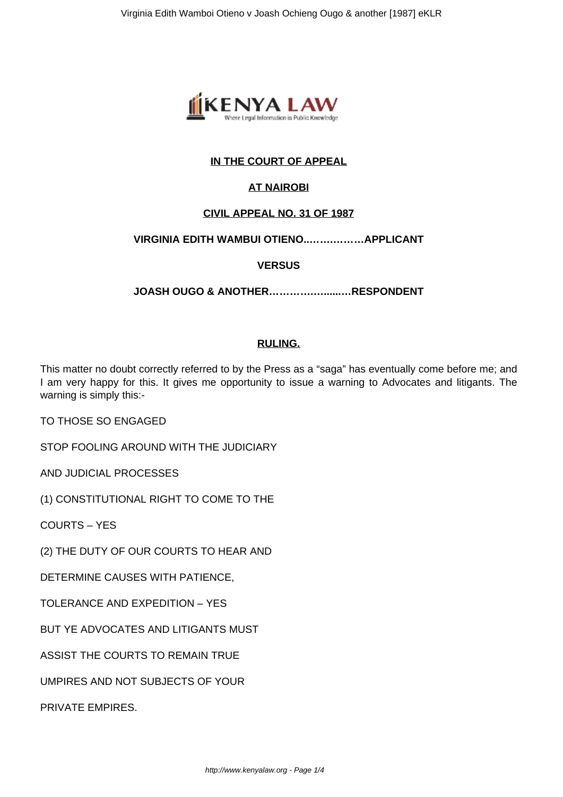

# **IN THE COURT OF APPEAL**

## **AT NAIROBI**

### **CIVIL APPEAL NO. 31 OF 1987**

### **VIRGINIA EDITH WAMBUI OTIENO..…….………APPLICANT**

### **VERSUS**

**JOASH OUGO & ANOTHER………….…......…RESPONDENT**

### **RULING.**

This matter no doubt correctly referred to by the Press as a "saga" has eventually come before me; and I am very happy for this. It gives me opportunity to issue a warning to Advocates and litigants. The warning is simply this:-

TO THOSE SO ENGAGED

STOP FOOLING AROUND WITH THE JUDICIARY

AND JUDICIAL PROCESSES

(1) CONSTITUTIONAL RIGHT TO COME TO THE

COURTS – YES

(2) THE DUTY OF OUR COURTS TO HEAR AND

DETERMINE CAUSES WITH PATIENCE,

TOLERANCE AND EXPEDITION – YES

BUT YE ADVOCATES AND LITIGANTS MUST

ASSIST THE COURTS TO REMAIN TRUE

UMPIRES AND NOT SUBJECTS OF YOUR

PRIVATE EMPIRES.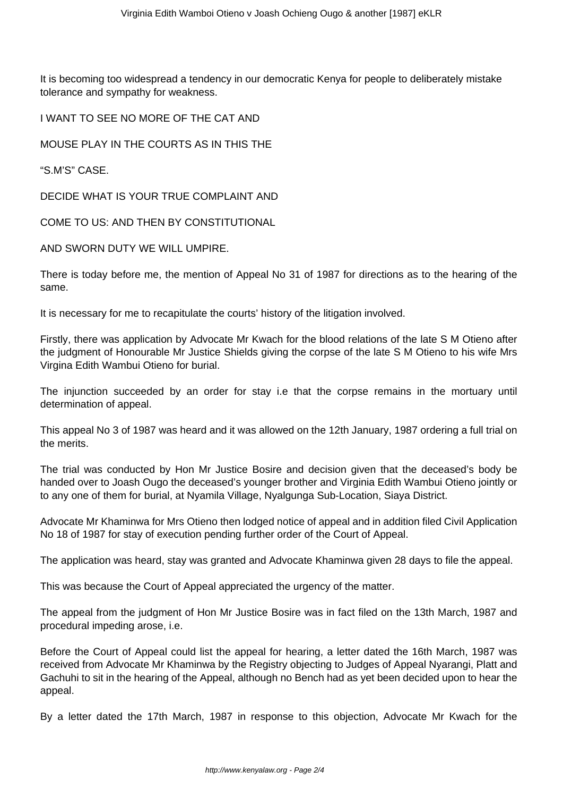It is becoming too widespread a tendency in our democratic Kenya for people to deliberately mistake tolerance and sympathy for weakness.

I WANT TO SEE NO MORE OF THE CAT AND

MOUSE PLAY IN THE COURTS AS IN THIS THE

"S.M'S" CASE.

DECIDE WHAT IS YOUR TRUE COMPLAINT AND

COME TO US: AND THEN BY CONSTITUTIONAL

AND SWORN DUTY WE WILL UMPIRE.

There is today before me, the mention of Appeal No 31 of 1987 for directions as to the hearing of the same.

It is necessary for me to recapitulate the courts' history of the litigation involved.

Firstly, there was application by Advocate Mr Kwach for the blood relations of the late S M Otieno after the judgment of Honourable Mr Justice Shields giving the corpse of the late S M Otieno to his wife Mrs Virgina Edith Wambui Otieno for burial.

The injunction succeeded by an order for stay i.e that the corpse remains in the mortuary until determination of appeal.

This appeal No 3 of 1987 was heard and it was allowed on the 12th January, 1987 ordering a full trial on the merits.

The trial was conducted by Hon Mr Justice Bosire and decision given that the deceased's body be handed over to Joash Ougo the deceased's younger brother and Virginia Edith Wambui Otieno jointly or to any one of them for burial, at Nyamila Village, Nyalgunga Sub-Location, Siaya District.

Advocate Mr Khaminwa for Mrs Otieno then lodged notice of appeal and in addition filed Civil Application No 18 of 1987 for stay of execution pending further order of the Court of Appeal.

The application was heard, stay was granted and Advocate Khaminwa given 28 days to file the appeal.

This was because the Court of Appeal appreciated the urgency of the matter.

The appeal from the judgment of Hon Mr Justice Bosire was in fact filed on the 13th March, 1987 and procedural impeding arose, i.e.

Before the Court of Appeal could list the appeal for hearing, a letter dated the 16th March, 1987 was received from Advocate Mr Khaminwa by the Registry objecting to Judges of Appeal Nyarangi, Platt and Gachuhi to sit in the hearing of the Appeal, although no Bench had as yet been decided upon to hear the appeal.

By a letter dated the 17th March, 1987 in response to this objection, Advocate Mr Kwach for the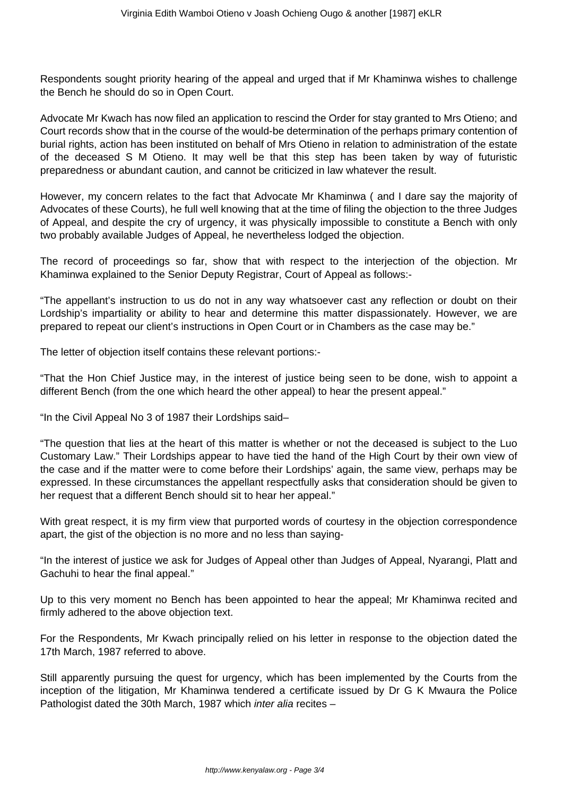Respondents sought priority hearing of the appeal and urged that if Mr Khaminwa wishes to challenge the Bench he should do so in Open Court.

Advocate Mr Kwach has now filed an application to rescind the Order for stay granted to Mrs Otieno; and Court records show that in the course of the would-be determination of the perhaps primary contention of burial rights, action has been instituted on behalf of Mrs Otieno in relation to administration of the estate of the deceased S M Otieno. It may well be that this step has been taken by way of futuristic preparedness or abundant caution, and cannot be criticized in law whatever the result.

However, my concern relates to the fact that Advocate Mr Khaminwa ( and I dare say the majority of Advocates of these Courts), he full well knowing that at the time of filing the objection to the three Judges of Appeal, and despite the cry of urgency, it was physically impossible to constitute a Bench with only two probably available Judges of Appeal, he nevertheless lodged the objection.

The record of proceedings so far, show that with respect to the interjection of the objection. Mr Khaminwa explained to the Senior Deputy Registrar, Court of Appeal as follows:-

"The appellant's instruction to us do not in any way whatsoever cast any reflection or doubt on their Lordship's impartiality or ability to hear and determine this matter dispassionately. However, we are prepared to repeat our client's instructions in Open Court or in Chambers as the case may be."

The letter of objection itself contains these relevant portions:-

"That the Hon Chief Justice may, in the interest of justice being seen to be done, wish to appoint a different Bench (from the one which heard the other appeal) to hear the present appeal."

"In the Civil Appeal No 3 of 1987 their Lordships said–

"The question that lies at the heart of this matter is whether or not the deceased is subject to the Luo Customary Law." Their Lordships appear to have tied the hand of the High Court by their own view of the case and if the matter were to come before their Lordships' again, the same view, perhaps may be expressed. In these circumstances the appellant respectfully asks that consideration should be given to her request that a different Bench should sit to hear her appeal."

With great respect, it is my firm view that purported words of courtesy in the objection correspondence apart, the gist of the objection is no more and no less than saying-

"In the interest of justice we ask for Judges of Appeal other than Judges of Appeal, Nyarangi, Platt and Gachuhi to hear the final appeal."

Up to this very moment no Bench has been appointed to hear the appeal; Mr Khaminwa recited and firmly adhered to the above objection text.

For the Respondents, Mr Kwach principally relied on his letter in response to the objection dated the 17th March, 1987 referred to above.

Still apparently pursuing the quest for urgency, which has been implemented by the Courts from the inception of the litigation, Mr Khaminwa tendered a certificate issued by Dr G K Mwaura the Police Pathologist dated the 30th March, 1987 which inter alia recites –